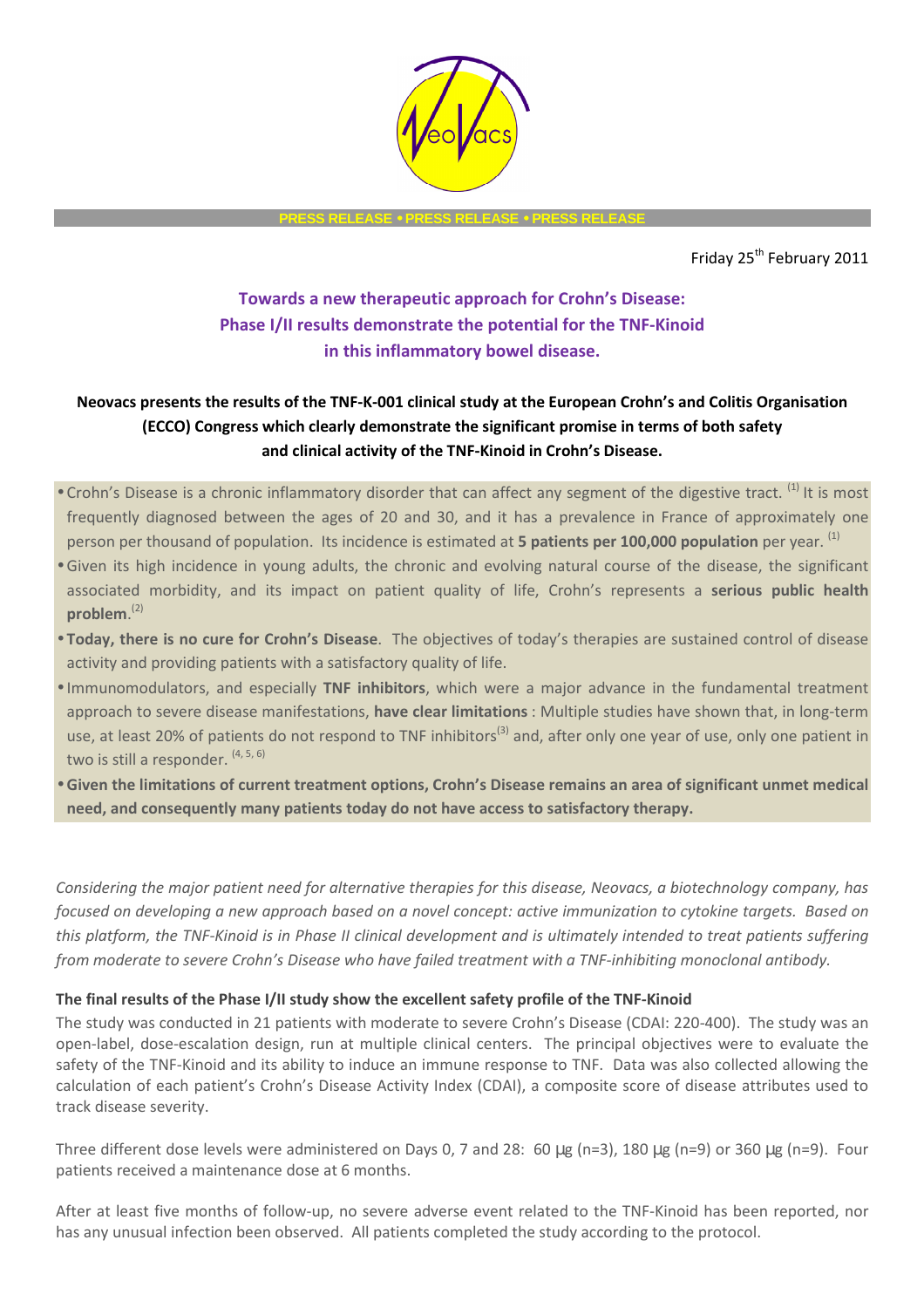

**PRESS RELEASE** • **PRESS RELEASE** • **PRESS RELEASE** 

Friday 25<sup>th</sup> February 2011

# **Towards a new therapeutic approach for Crohn's Disease: Phase I/II results demonstrate the potential for the TNF-Kinoid in this inflammatory bowel disease.**

# **Neovacs presents the results of the TNF-K-001 clinical study at the European Crohn's and Colitis Organisation (ECCO) Congress which clearly demonstrate the significant promise in terms of both safety and clinical activity of the TNF-Kinoid in Crohn's Disease.**

- Crohn's Disease is a chronic inflammatory disorder that can affect any segment of the digestive tract.  $^{(1)}$  It is most frequently diagnosed between the ages of 20 and 30, and it has a prevalence in France of approximately one person per thousand of population. Its incidence is estimated at **5 patients per 100,000 population** per year. (1)
- Given its high incidence in young adults, the chronic and evolving natural course of the disease, the significant associated morbidity, and its impact on patient quality of life, Crohn's represents a **serious public health problem**. (2)
- **Today, there is no cure for Crohn's Disease**. The objectives of today's therapies are sustained control of disease activity and providing patients with a satisfactory quality of life.
- Immunomodulators, and especially **TNF inhibitors**, which were a major advance in the fundamental treatment approach to severe disease manifestations, **have clear limitations** : Multiple studies have shown that, in long-term use, at least 20% of patients do not respond to TNF inhibitors<sup>(3)</sup> and, after only one year of use, only one patient in two is still a responder. (4, 5, 6)
- **Given the limitations of current treatment options, Crohn's Disease remains an area of significant unmet medical need, and consequently many patients today do not have access to satisfactory therapy.**

*Considering the major patient need for alternative therapies for this disease, Neovacs, a biotechnology company, has focused on developing a new approach based on a novel concept: active immunization to cytokine targets. Based on this platform, the TNF-Kinoid is in Phase II clinical development and is ultimately intended to treat patients suffering from moderate to severe Crohn's Disease who have failed treatment with a TNF-inhibiting monoclonal antibody.* 

# **The final results of the Phase I/II study show the excellent safety profile of the TNF-Kinoid**

The study was conducted in 21 patients with moderate to severe Crohn's Disease (CDAI: 220-400). The study was an open-label, dose-escalation design, run at multiple clinical centers. The principal objectives were to evaluate the safety of the TNF-Kinoid and its ability to induce an immune response to TNF. Data was also collected allowing the calculation of each patient's Crohn's Disease Activity Index (CDAI), a composite score of disease attributes used to track disease severity.

Three different dose levels were administered on Days 0, 7 and 28: 60 µg (n=3), 180 µg (n=9) or 360 µg (n=9). Four patients received a maintenance dose at 6 months.

After at least five months of follow-up, no severe adverse event related to the TNF-Kinoid has been reported, nor has any unusual infection been observed. All patients completed the study according to the protocol.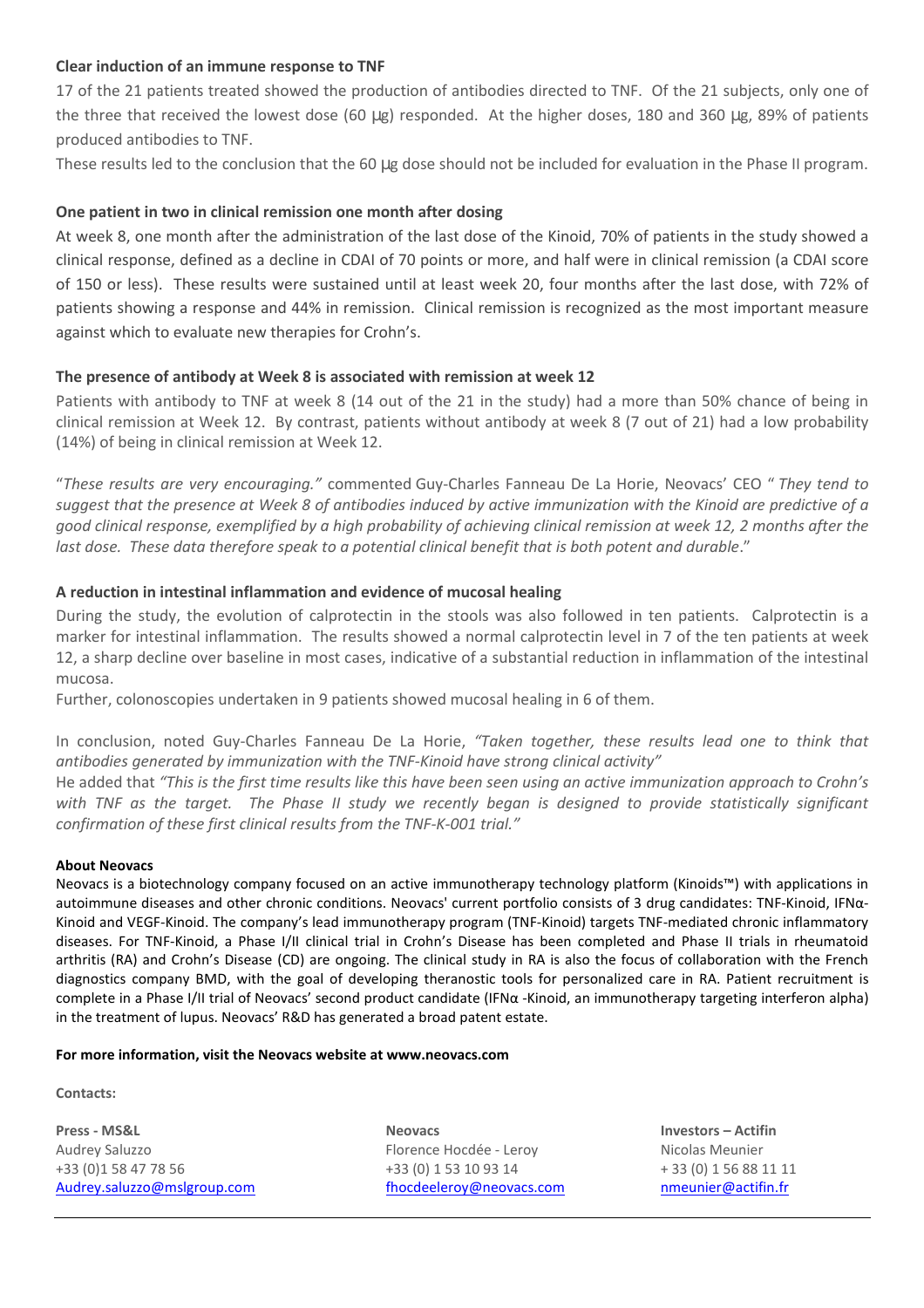### **Clear induction of an immune response to TNF**

17 of the 21 patients treated showed the production of antibodies directed to TNF. Of the 21 subjects, only one of the three that received the lowest dose (60 µg) responded. At the higher doses, 180 and 360 µg, 89% of patients produced antibodies to TNF.

These results led to the conclusion that the 60 µg dose should not be included for evaluation in the Phase II program.

## **One patient in two in clinical remission one month after dosing**

At week 8, one month after the administration of the last dose of the Kinoid, 70% of patients in the study showed a clinical response, defined as a decline in CDAI of 70 points or more, and half were in clinical remission (a CDAI score of 150 or less). These results were sustained until at least week 20, four months after the last dose, with 72% of patients showing a response and 44% in remission. Clinical remission is recognized as the most important measure against which to evaluate new therapies for Crohn's.

### **The presence of antibody at Week 8 is associated with remission at week 12**

Patients with antibody to TNF at week 8 (14 out of the 21 in the study) had a more than 50% chance of being in clinical remission at Week 12. By contrast, patients without antibody at week 8 (7 out of 21) had a low probability (14%) of being in clinical remission at Week 12.

"*These results are very encouraging."* commented Guy-Charles Fanneau De La Horie, Neovacs' CEO " *They tend to suggest that the presence at Week 8 of antibodies induced by active immunization with the Kinoid are predictive of a good clinical response, exemplified by a high probability of achieving clinical remission at week 12, 2 months after the*  last dose. These data therefore speak to a potential clinical benefit that is both potent and durable."

### **A reduction in intestinal inflammation and evidence of mucosal healing**

During the study, the evolution of calprotectin in the stools was also followed in ten patients. Calprotectin is a marker for intestinal inflammation. The results showed a normal calprotectin level in 7 of the ten patients at week 12, a sharp decline over baseline in most cases, indicative of a substantial reduction in inflammation of the intestinal mucosa.

Further, colonoscopies undertaken in 9 patients showed mucosal healing in 6 of them.

In conclusion, noted Guy-Charles Fanneau De La Horie, *"Taken together, these results lead one to think that antibodies generated by immunization with the TNF-Kinoid have strong clinical activity"* 

He added that *"This is the first time results like this have been seen using an active immunization approach to Crohn's with TNF as the target. The Phase II study we recently began is designed to provide statistically significant confirmation of these first clinical results from the TNF-K-001 trial."* 

#### **About Neovacs**

Neovacs is a biotechnology company focused on an active immunotherapy technology platform (Kinoids™) with applications in autoimmune diseases and other chronic conditions. Neovacs' current portfolio consists of 3 drug candidates: TNF-Kinoid, IFNα-Kinoid and VEGF-Kinoid. The company's lead immunotherapy program (TNF-Kinoid) targets TNF-mediated chronic inflammatory diseases. For TNF-Kinoid, a Phase I/II clinical trial in Crohn's Disease has been completed and Phase II trials in rheumatoid arthritis (RA) and Crohn's Disease (CD) are ongoing. The clinical study in RA is also the focus of collaboration with the French diagnostics company BMD, with the goal of developing theranostic tools for personalized care in RA. Patient recruitment is complete in a Phase I/II trial of Neovacs' second product candidate (IFNα -Kinoid, an immunotherapy targeting interferon alpha) in the treatment of lupus. Neovacs' R&D has generated a broad patent estate.

#### **For more information, visit the Neovacs website at www.neovacs.com**

**Contacts:** 

**Press - MS&L Neovacs Investors – Actifin**  Audrey Saluzzo Florence Hocdée - Leroy Nicolas Meunier +33 (0) 1 58 47 78 56  $+33$  (0) 1 53 10 93 14  $+33$  (0) 1 56 88 11 11 Audrey.saluzzo@mslgroup.com fhocdeeleroy@neovacs.com nmeunier@actifin.fr